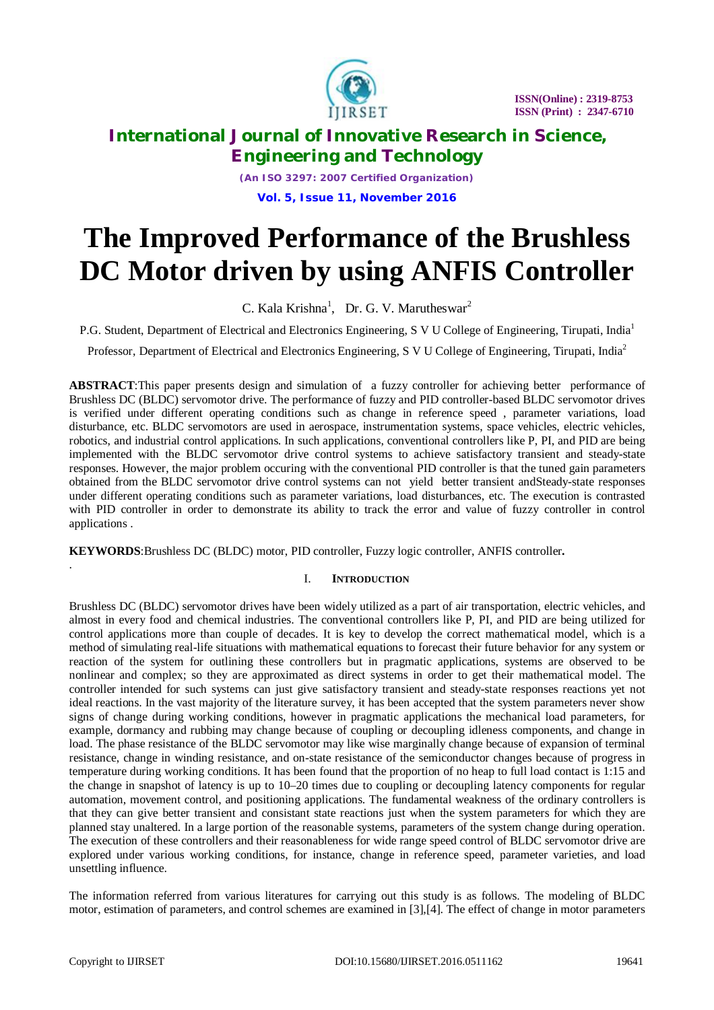

*(An ISO 3297: 2007 Certified Organization)* **Vol. 5, Issue 11, November 2016**

# **The Improved Performance of the Brushless DC Motor driven by using ANFIS Controller**

C. Kala Krishna<sup>1</sup>, Dr. G. V. Marutheswar<sup>2</sup>

P.G. Student, Department of Electrical and Electronics Engineering, S V U College of Engineering, Tirupati, India<sup>1</sup>

Professor, Department of Electrical and Electronics Engineering, S V U College of Engineering, Tirupati, India<sup>2</sup>

**ABSTRACT**:This paper presents design and simulation of a fuzzy controller for achieving better performance of Brushless DC (BLDC) servomotor drive. The performance of fuzzy and PID controller-based BLDC servomotor drives is verified under different operating conditions such as change in reference speed , parameter variations, load disturbance, etc. BLDC servomotors are used in aerospace, instrumentation systems, space vehicles, electric vehicles, robotics, and industrial control applications. In such applications, conventional controllers like P, PI, and PID are being implemented with the BLDC servomotor drive control systems to achieve satisfactory transient and steady-state responses. However, the major problem occuring with the conventional PID controller is that the tuned gain parameters obtained from the BLDC servomotor drive control systems can not yield better transient andSteady-state responses under different operating conditions such as parameter variations, load disturbances, etc. The execution is contrasted with PID controller in order to demonstrate its ability to track the error and value of fuzzy controller in control applications .

**KEYWORDS**:Brushless DC (BLDC) motor, PID controller, Fuzzy logic controller, ANFIS controller**.**

### I. **INTRODUCTION**

Brushless DC (BLDC) servomotor drives have been widely utilized as a part of air transportation, electric vehicles, and almost in every food and chemical industries. The conventional controllers like P, PI, and PID are being utilized for control applications more than couple of decades. It is key to develop the correct mathematical model, which is a method of simulating real-life situations with mathematical equations to forecast their future behavior for any system or reaction of the system for outlining these controllers but in pragmatic applications, systems are observed to be nonlinear and complex; so they are approximated as direct systems in order to get their mathematical model. The controller intended for such systems can just give satisfactory transient and steady-state responses reactions yet not ideal reactions. In the vast majority of the literature survey, it has been accepted that the system parameters never show signs of change during working conditions, however in pragmatic applications the mechanical load parameters, for example, dormancy and rubbing may change because of coupling or decoupling idleness components, and change in load. The phase resistance of the BLDC servomotor may like wise marginally change because of expansion of terminal resistance, change in winding resistance, and on-state resistance of the semiconductor changes because of progress in temperature during working conditions. It has been found that the proportion of no heap to full load contact is 1:15 and the change in snapshot of latency is up to 10–20 times due to coupling or decoupling latency components for regular automation, movement control, and positioning applications. The fundamental weakness of the ordinary controllers is that they can give better transient and consistant state reactions just when the system parameters for which they are planned stay unaltered. In a large portion of the reasonable systems, parameters of the system change during operation. The execution of these controllers and their reasonableness for wide range speed control of BLDC servomotor drive are explored under various working conditions, for instance, change in reference speed, parameter varieties, and load unsettling influence.

The information referred from various literatures for carrying out this study is as follows. The modeling of BLDC motor, estimation of parameters, and control schemes are examined in [3],[4]. The effect of change in motor parameters

.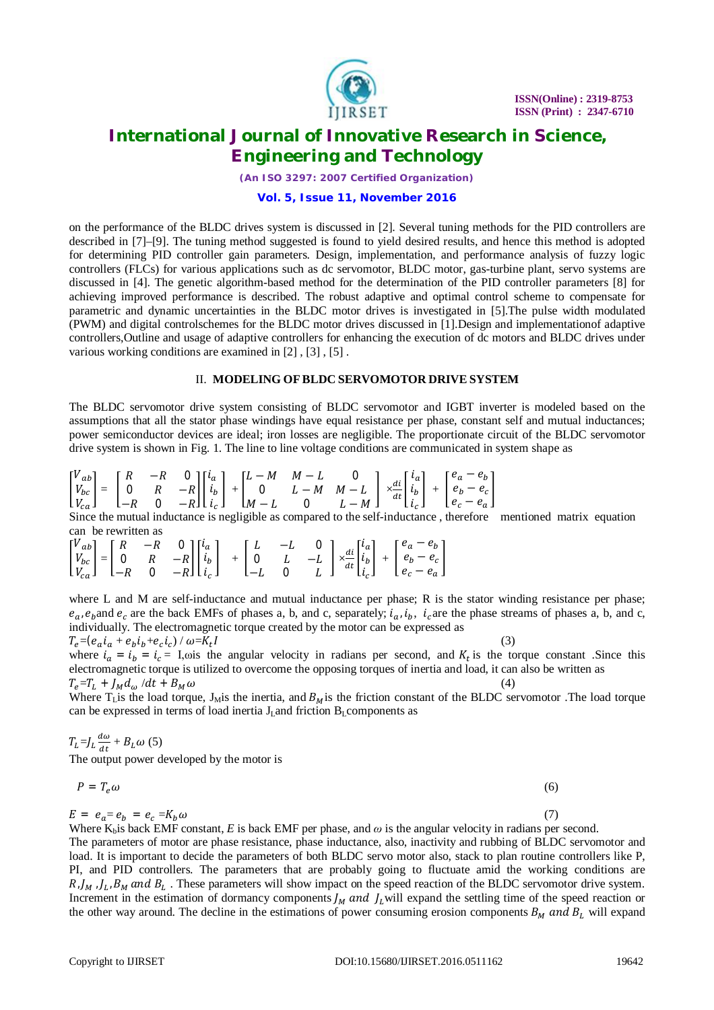

*(An ISO 3297: 2007 Certified Organization)*

#### **Vol. 5, Issue 11, November 2016**

on the performance of the BLDC drives system is discussed in [2]. Several tuning methods for the PID controllers are described in [7]–[9]. The tuning method suggested is found to yield desired results, and hence this method is adopted for determining PID controller gain parameters. Design, implementation, and performance analysis of fuzzy logic controllers (FLCs) for various applications such as dc servomotor, BLDC motor, gas-turbine plant, servo systems are discussed in [4]. The genetic algorithm-based method for the determination of the PID controller parameters [8] for achieving improved performance is described. The robust adaptive and optimal control scheme to compensate for parametric and dynamic uncertainties in the BLDC motor drives is investigated in [5].The pulse width modulated (PWM) and digital controlschemes for the BLDC motor drives discussed in [1].Design and implementationof adaptive controllers,Outline and usage of adaptive controllers for enhancing the execution of dc motors and BLDC drives under various working conditions are examined in [2] , [3] , [5] .

#### II. **MODELING OFBLDC SERVOMOTOR DRIVE SYSTEM**

The BLDC servomotor drive system consisting of BLDC servomotor and IGBT inverter is modeled based on the assumptions that all the stator phase windings have equal resistance per phase, constant self and mutual inductances; power semiconductor devices are ideal; iron losses are negligible. The proportionate circuit of the BLDC servomotor drive system is shown in Fig. 1. The line to line voltage conditions are communicated in system shape as

$$
\begin{bmatrix} V_{ab} \\ V_{bc} \\ V_{ca} \end{bmatrix} = \begin{bmatrix} R & -R & 0 \\ 0 & R & -R \\ -R & 0 & -R \end{bmatrix} \begin{bmatrix} i_a \\ i_b \\ i_c \end{bmatrix} + \begin{bmatrix} L-M & M-L & 0 \\ 0 & L-M & M-L \\ M-L & 0 & L-M \end{bmatrix} \\ \times \frac{di}{dt} \begin{bmatrix} i_a \\ i_b \\ i_c \end{bmatrix} + \begin{bmatrix} e_a - e_b \\ e_b - e_c \\ e_c - e_a \end{bmatrix}
$$

Since the mutual inductance is negligible as compared to the self-inductance , therefore mentioned matrix equation can be rewritten as

$$
\begin{bmatrix} V_{ab} \\ V_{bc} \\ V_{ca} \end{bmatrix} = \begin{bmatrix} R & -R & 0 \\ 0 & R & -R \\ -R & 0 & -R \end{bmatrix} \begin{bmatrix} i_a \\ i_b \\ i_c \end{bmatrix} \quad + \quad \begin{bmatrix} L & -L & 0 \\ 0 & L & -L \\ -L & 0 & L \end{bmatrix} \times \frac{di}{dt} \begin{bmatrix} i_a \\ i_b \\ i_c \end{bmatrix} \quad + \quad \begin{bmatrix} e_a - e_b \\ e_b - e_c \\ e_c - e_a \end{bmatrix}
$$

where L and M are self-inductance and mutual inductance per phase; R is the stator winding resistance per phase;  $e_a$ ,  $e_b$  and  $e_c$  are the back EMFs of phases a, b, and c, separately;  $i_a$ ,  $i_b$ ,  $i_c$  are the phase streams of phases a, b, and c, individually. The electromagnetic torque created by the motor can be expressed as

 $T_e = (e_a i_a + e_b i_b + e_c i_c) / \omega = K_t$  $I$  (3) where  $i_a = i_b = i_c = 1$ , ois the angular velocity in radians per second, and  $K_t$  is the torque constant. Since this electromagnetic torque is utilized to overcome the opposing torques of inertia and load, it can also be written as  $T_e = T_L + J_M d_\omega / dt + B_M \omega$  (4)

Where  $T_{\rm L}$  is the load torque, J<sub>M</sub> is the inertia, and  $B_M$  is the friction constant of the BLDC servomotor. The load torque can be expressed in terms of load inertia  $J<sub>L</sub>$ and friction  $B<sub>L</sub>$ components as

$$
T_L = J_L \frac{d\omega}{dt} + B_L \omega
$$
 (5)  
The output power developed by the motor is

 $P = T_e \omega$  (6)

 $E = e_a = e_b = e_c = K_b \omega$  (7)

Where  $K_b$  is back EMF constant, *E* is back EMF per phase, and  $\omega$  is the angular velocity in radians per second. The parameters of motor are phase resistance, phase inductance, also, inactivity and rubbing of BLDC servomotor and load. It is important to decide the parameters of both BLDC servo motor also, stack to plan routine controllers like P, PI, and PID controllers. The parameters that are probably going to fluctuate amid the working conditions are  $R$ ,  $J_M$ ,  $J_L$ ,  $B_M$  and  $B_L$ . These parameters will show impact on the speed reaction of the BLDC servomotor drive system. Increment in the estimation of dormancy components  $J_M$  and  $J_L$  will expand the settling time of the speed reaction or the other way around. The decline in the estimations of power consuming erosion components  $B_M$  and  $B_L$  will expand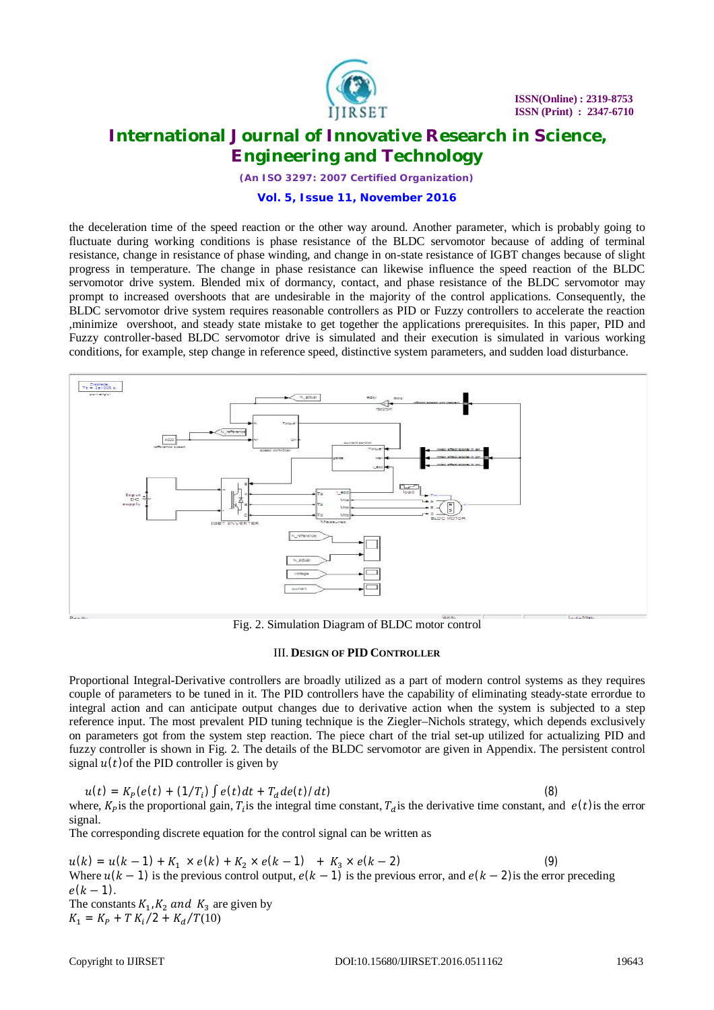

*(An ISO 3297: 2007 Certified Organization)*

#### **Vol. 5, Issue 11, November 2016**

the deceleration time of the speed reaction or the other way around. Another parameter, which is probably going to fluctuate during working conditions is phase resistance of the BLDC servomotor because of adding of terminal resistance, change in resistance of phase winding, and change in on-state resistance of IGBT changes because of slight progress in temperature. The change in phase resistance can likewise influence the speed reaction of the BLDC servomotor drive system. Blended mix of dormancy, contact, and phase resistance of the BLDC servomotor may prompt to increased overshoots that are undesirable in the majority of the control applications. Consequently, the BLDC servomotor drive system requires reasonable controllers as PID or Fuzzy controllers to accelerate the reaction ,minimize overshoot, and steady state mistake to get together the applications prerequisites. In this paper, PID and Fuzzy controller-based BLDC servomotor drive is simulated and their execution is simulated in various working conditions, for example, step change in reference speed, distinctive system parameters, and sudden load disturbance.



Fig. 2. Simulation Diagram of BLDC motor control

#### III. **DESIGN OF PID CONTROLLER**

Proportional Integral-Derivative controllers are broadly utilized as a part of modern control systems as they requires couple of parameters to be tuned in it. The PID controllers have the capability of eliminating steady-state errordue to integral action and can anticipate output changes due to derivative action when the system is subjected to a step reference input. The most prevalent PID tuning technique is the Ziegler–Nichols strategy, which depends exclusively on parameters got from the system step reaction. The piece chart of the trial set-up utilized for actualizing PID and fuzzy controller is shown in Fig. 2. The details of the BLDC servomotor are given in Appendix. The persistent control signal  $u(t)$  of the PID controller is given by

$$
u(t) = K_P(e(t) + (1/T_i) \int e(t)dt + T_d de(t)/dt)
$$
\n(8)

\nwhere,  $K_P$  is the proportional gain,  $T_i$  is the integral time constant,  $T_d$  is the derivative time constant, and  $e(t)$  is the error signal.

The corresponding discrete equation for the control signal can be written as

 $u(k) = u(k-1) + K_1 \times e(k) + K_2 \times e(k-1) + K_3 \times e(k-2)$  (9) Where  $u(k-1)$  is the previous control output,  $e(k-1)$  is the previous error, and  $e(k-2)$  is the error preceding  $e(k - 1)$ . The constants  $K_1$ ,  $K_2$  and  $K_3$  are given by  $K_1 = K_P + T K_i/2 + K_d/T(10)$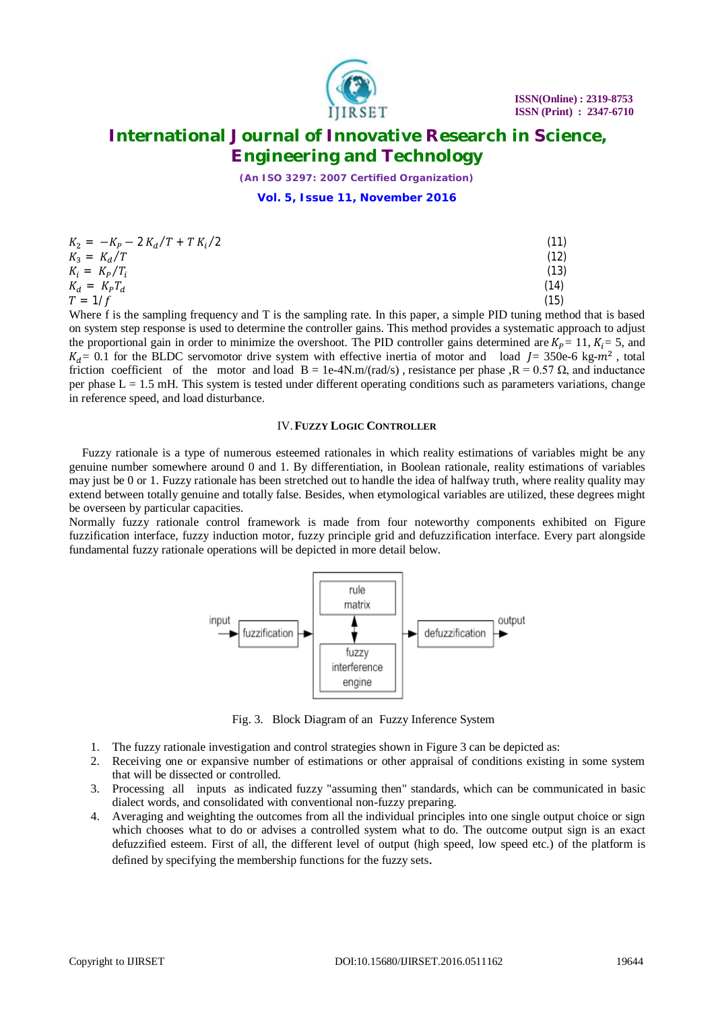

*(An ISO 3297: 2007 Certified Organization)*

**Vol. 5, Issue 11, November 2016**

| $K_2 = -K_P - 2K_d/T + T K_i/2$ | (11) |
|---------------------------------|------|
| $K_3 = K_d/T$                   | (12) |
| $K_i = K_p/T_i$                 | (13) |
| $K_d = K_P T_d$                 | (14) |
| $T = 1/f$                       | (15) |

Where f is the sampling frequency and T is the sampling rate. In this paper, a simple PID tuning method that is based on system step response is used to determine the controller gains. This method provides a systematic approach to adjust the proportional gain in order to minimize the overshoot. The PID controller gains determined are  $K_p = 11$ ,  $K_i = 5$ , and  $K_d = 0.1$  for the BLDC servomotor drive system with effective inertia of motor and load  $J = 350e-6$  kg- $m^2$ , total friction coefficient of the motor and load  $B = 1e-4N \cdot m/r \cdot d/s$ , resistance per phase , $R = 0.57 \Omega$ , and inductance per phase  $L = 1.5$  mH. This system is tested under different operating conditions such as parameters variations, change in reference speed, and load disturbance.

#### IV.**FUZZY LOGIC CONTROLLER**

Fuzzy rationale is a type of numerous esteemed rationales in which reality estimations of variables might be any genuine number somewhere around 0 and 1. By differentiation, in Boolean rationale, reality estimations of variables may just be 0 or 1. Fuzzy rationale has been stretched out to handle the idea of halfway truth, where reality quality may extend between totally genuine and totally false. Besides, when etymological variables are utilized, these degrees might be overseen by particular capacities.

Normally fuzzy rationale control framework is made from four noteworthy components exhibited on Figure fuzzification interface, fuzzy induction motor, fuzzy principle grid and defuzzification interface. Every part alongside fundamental fuzzy rationale operations will be depicted in more detail below.



Fig. 3. Block Diagram of an Fuzzy Inference System

- 1. The fuzzy rationale investigation and control strategies shown in Figure 3 can be depicted as:
- 2. Receiving one or expansive number of estimations or other appraisal of conditions existing in some system that will be dissected or controlled.
- 3. Processing all inputs as indicated fuzzy "assuming then" standards, which can be communicated in basic dialect words, and consolidated with conventional non-fuzzy preparing.
- 4. Averaging and weighting the outcomes from all the individual principles into one single output choice or sign which chooses what to do or advises a controlled system what to do. The outcome output sign is an exact defuzzified esteem. First of all, the different level of output (high speed, low speed etc.) of the platform is defined by specifying the membership functions for the fuzzy sets.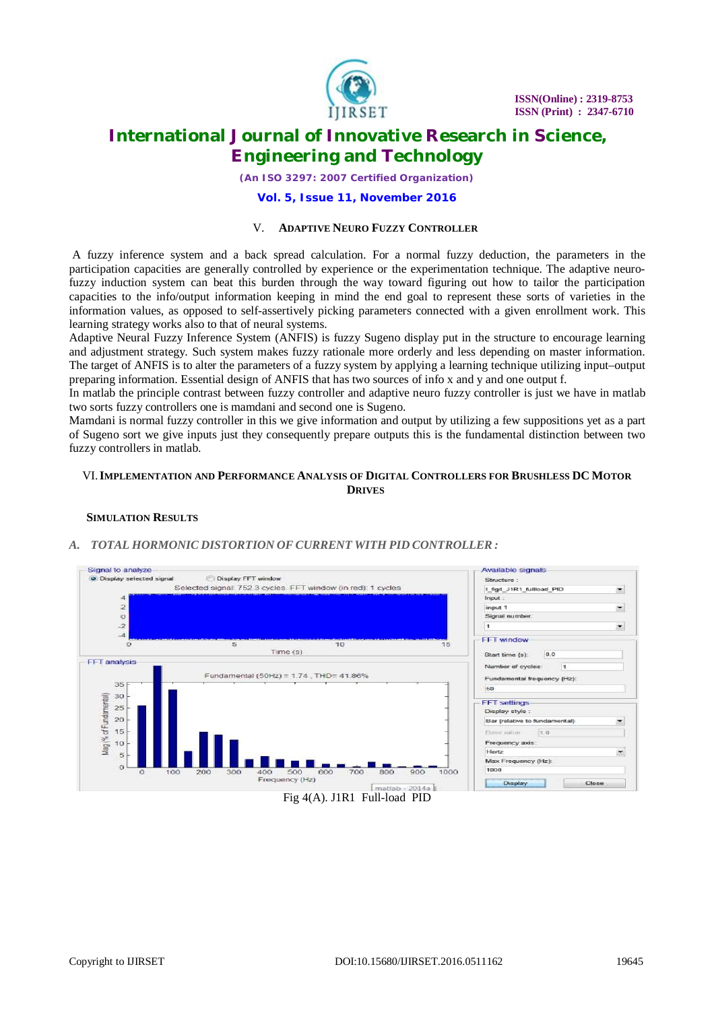

*(An ISO 3297: 2007 Certified Organization)*

#### **Vol. 5, Issue 11, November 2016**

#### V. **ADAPTIVE NEURO FUZZY CONTROLLER**

A fuzzy inference system and a back spread calculation. For a normal fuzzy deduction, the parameters in the participation capacities are generally controlled by experience or the experimentation technique. The adaptive neurofuzzy induction system can beat this burden through the way toward figuring out how to tailor the participation capacities to the info/output information keeping in mind the end goal to represent these sorts of varieties in the information values, as opposed to self-assertively picking parameters connected with a given enrollment work. This learning strategy works also to that of neural systems.

Adaptive Neural Fuzzy Inference System (ANFIS) is fuzzy Sugeno display put in the structure to encourage learning and adjustment strategy. Such system makes fuzzy rationale more orderly and less depending on master information. The target of ANFIS is to alter the parameters of a fuzzy system by applying a learning technique utilizing input–output preparing information. Essential design of ANFIS that has two sources of info x and y and one output f.

In matlab the principle contrast between fuzzy controller and adaptive neuro fuzzy controller is just we have in matlab two sorts fuzzy controllers one is mamdani and second one is Sugeno.

Mamdani is normal fuzzy controller in this we give information and output by utilizing a few suppositions yet as a part of Sugeno sort we give inputs just they consequently prepare outputs this is the fundamental distinction between two fuzzy controllers in matlab.

### VI.**IMPLEMENTATION AND PERFORMANCE ANALYSIS OF DIGITAL CONTROLLERS FOR BRUSHLESS DC MOTOR DRIVES**

### **SIMULATION RESULTS**

### *A. TOTAL HORMONIC DISTORTION OFCURRENT WITH PID CONTROLLER :*

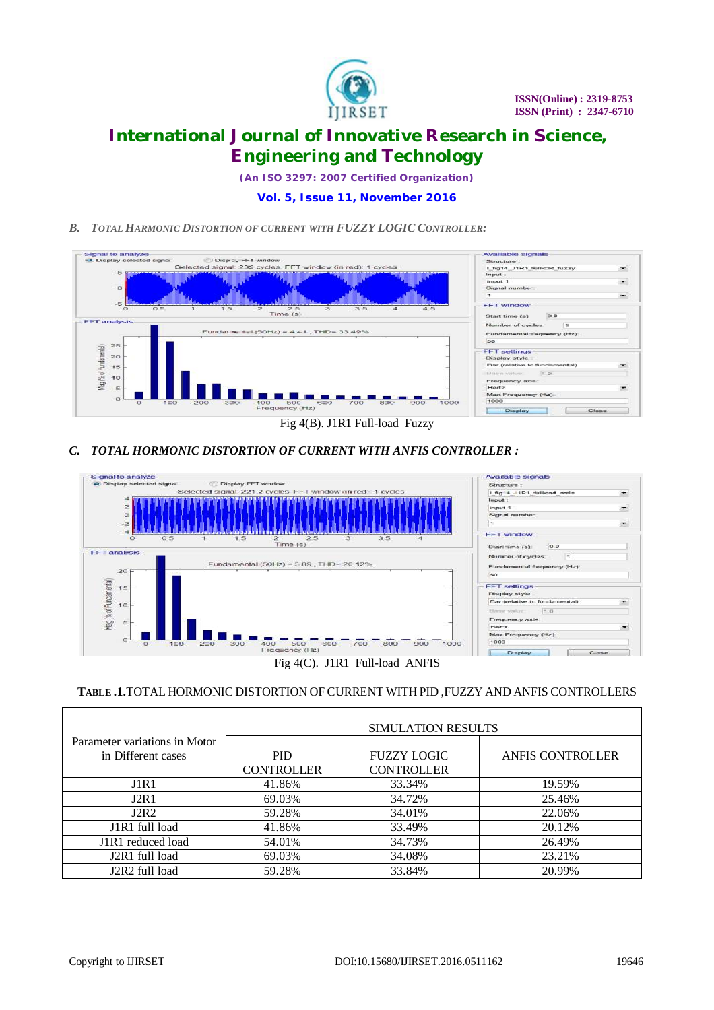

*(An ISO 3297: 2007 Certified Organization)*

### **Vol. 5, Issue 11, November 2016**

*B. TOTAL HARMONIC DISTORTION OF CURRENT WITH FUZZY LOGIC CONTROLLER:*



*C. TOTAL HORMONIC DISTORTION OF CURRENT WITH ANFIS CONTROLLER :*



Fig 4(C). J1R1 Full-load ANFIS

### **TABLE .1.**TOTAL HORMONIC DISTORTION OF CURRENT WITH PID ,FUZZY AND ANFIS CONTROLLERS

|                                                     | <b>SIMULATION RESULTS</b>       |                                         |                  |
|-----------------------------------------------------|---------------------------------|-----------------------------------------|------------------|
| Parameter variations in Motor<br>in Different cases | <b>PID</b><br><b>CONTROLLER</b> | <b>FUZZY LOGIC</b><br><b>CONTROLLER</b> | ANFIS CONTROLLER |
| J1R1                                                | 41.86%                          | 33.34%                                  | 19.59%           |
| J2R1                                                | 69.03%                          | 34.72%                                  | 25.46%           |
| J2R2                                                | 59.28%                          | 34.01%                                  | 22.06%           |
| J1R1 full load                                      | 41.86%                          | 33.49%                                  | 20.12%           |
| J1R1 reduced load                                   | 54.01%                          | 34.73%                                  | 26.49%           |
| J2R1 full load                                      | 69.03%                          | 34.08%                                  | 23.21%           |
| J2R2 full load                                      | 59.28%                          | 33.84%                                  | 20.99%           |